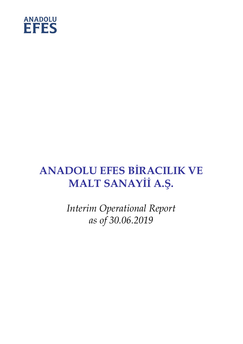

# **ANADOLU EFES BİRACILIK VE MALT SANAYİİ A.Ş.**

*Interim Operational Report as of 30.06.2019*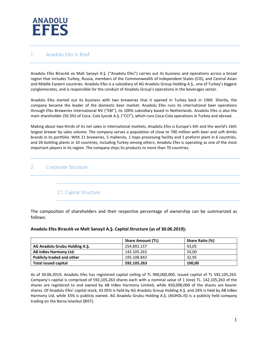

#### 1. Anadolu Efes in Brief:

Anadolu Efes Biracılık ve Malt Sanayii A.Ş. ("Anadolu Efes") carries out its business and operations across a broad region that includes Turkey, Russia, members of the Commonwealth of Independent States (CIS), and Central Asian and Middle Eastern countries. Anadolu Efes is a subsidiary of AG Anadolu Group Holding A.Ş., one of Turkey's biggest conglomerates, and is responsible for the conduct of Anadolu Group's operations in the beverages sector.

Anadolu Efes started out its business with two breweries that it opened in Turkey back in 1969. Shortly, the company became the leader of the domestic beer market. Anadolu Efes runs its international beer operations through Efes Breweries International NV ("EBI"), its 100% subsidiary based in Netherlands. Anadolu Efes is also the main shareholder (50.3%) of Coca- Cola İçecek A.Ş. ("CCI"), which runs Coca-Cola operations in Turkey and abroad.

Making about two-thirds of its net sales in international markets, Anadolu Efes is Europe's 6th and the world's 16th largest brewer by sales volume. The company serves a population of close to 700 million with beer and soft drinks brands in its portfolio. With 21 breweries, 5 malteries, 1 hops processing facility and 1 preform plant in 6 countries, and 26 bottling plants in 10 countries, including Turkey among others, Anadolu Efes is operating as one of the most important players in its region. The company ships its products to more than 70 countries.

#### 2. Corporate Structure:

#### 2.1 Capital Structure:

The composition of shareholders and their respective percentage of ownership can be summarized as follows:

#### **Anadolu Efes Biracılık ve Malt Sanayii A.Ş. Capital Structure (as of 30.06.2019);**

|                                  | <b>Share Amount (TL)</b> | Share Ratio (%) |
|----------------------------------|--------------------------|-----------------|
| AG Anadolu Grubu Holding A.S.    | 254.891.157              | 43.05           |
| AB InBev Harmony Ltd.            | 142.105.263              | 24.00           |
| <b>Publicly-traded and other</b> | 195.108.843              | 32.95           |
| <b>Total issued capital</b>      | 592.105.263              | 100,00          |

As of 30.06.2019, Anadolu Efes has registered capital ceiling of TL 900,000,000, issued capital of TL 592,105,263. Company's capital is comprised of 592,105,263 shares each with a nominal value of 1 (one) TL. 142,105,263 of the shares are registered to and owned by AB InBev Harmony Limited, while 450,000,000 of the shares are bearer shares. Of Anadolu Efes' capital stock, 43.05% is held by AG Anadolu Group Holding A.Ş. and 24% is held by AB InBev Harmony Ltd, while 33% is publicly owned. AG Anadolu Grubu Holding A.Ş. (AGHOL.IS) is a publicly held company trading on the Borsa Istanbul (BIST).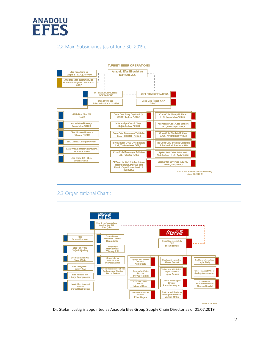

### 2.2 Main Subsidiaries (as of June 30, 2019):



## 2.3 Organizational Chart :



\*as of 30.06.2019

Dr. Stefan Lustig is appointed as Anadolu Efes Group Supply Chain Director as of 01.07.2019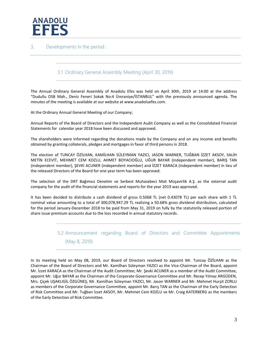

#### 3. Developments in the period :

#### 3.1 Ordinary General Assembly Meeting (April 30, 2019)

The Annual Ordinary General Assembly of Anadolu Efes was held on April 30th, 2019 at 14:00 at the address "Dudullu OSB Mah., Deniz Feneri Sokak No:4 Ümraniye/İSTANBUL" with the previously announced agenda. The minutes of the meeting is available at our website at www.anadoluefes.com.

At the Ordinary Annual General Meeting of our Company;

Annual Reports of the Board of Directors and the Independent Audit Company as well as the Consolidated Financial Statements for calendar year 2018 have been discussed and approved.

The shareholders were informed regarding the donations made by the Company and on any income and benefits obtained by granting collaterals, pledges and mortgages in favor of third persons in 2018.

The election of TUNCAY ÖZİLHAN, KAMİLHAN SÜLEYMAN YAZICI, JASON WARNER, TUĞBAN İZZET AKSOY, SALİH METİN ECEVİT, MEHMET CEM KOZLU, AHMET BOYACIOĞLU, UĞUR BAYAR (independent member), BARIŞ TAN (independent member), ŞEVKİ ACUNER (independent member) and İZZET KARACA (independent member) in lieu of the released Directors of the Board for one year term has been approved.

The selection of the DRT Bağımsız Denetim ve Serbest Muhasebeci Mali Müşavirlik A.Ş. as the external audit company for the audit of the financial statements and reports for the year 2019 was approved.

It has been decided to distribute a cash dividend of gross 0.5068 TL (net 0.43078 TL) per each share with 1 TL nominal value amounting to a total of 300,078,947.29 TL realizing a 50.68% gross dividend distribution, calculated for the period January-December 2018 to be paid from May 31, 2019 on fully by the statutorily released portion of share issue premium accounts due to the loss recorded in annual statutory records.

## 3.2 Announcement regarding Board of Directors and Committee Appointments (May 8, 2019)

In its meeting held on May 08, 2019, our Board of Directors resolved to appoint Mr. Tuncay ÖZİLHAN as the Chairman of the Board of Directors and Mr. Kamilhan Süleyman YAZICI as the Vice-Chairman of the Board, appoint Mr. İzzet KARACA as the Chairman of the Audit Committee; Mr. Şevki ACUNER as a member of the Audit Committee, appoint Mr. Uğur BAYAR as the Chairman of the Corporate Governance Committee and Mr. Recep Yılmaz ARGÜDEN, Mrs. Çiçek UŞAKLIGİL ÖZGÜNEŞ, Mr. Kamilhan Süleyman YAZICI, Mr. Jason WARNER and Mr. Mehmet Hurşit ZORLU as members of the Corporate Governance Committee, appoint Mr. Barış TAN as the Chairman of the Early Detection of Risk Committee and Mr. Tuğban İzzet AKSOY, Mr. Mehmet Cem KOZLU ve Mr. Craig KATERBERG as the members of the Early Detection of Risk Committee.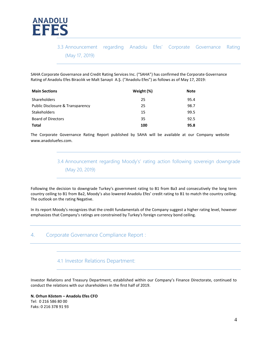

# 3.3 Announcement regarding Anadolu Efes' Corporate Governance Rating (May 17, 2019)

SAHA Corporate Governance and Credit Rating Services Inc. ("SAHA") has confirmed the Corporate Governance Rating of Anadolu Efes Biracılık ve Malt Sanayii A.Ş. ("Anadolu Efes") as follows as of May 17, 2019:

| <b>Main Sections</b>             | Weight (%) | <b>Note</b> |
|----------------------------------|------------|-------------|
| Shareholders                     | 25         | 95.4        |
| Public Disclosure & Transparency | 25         | 98.7        |
| <b>Stakeholders</b>              | 15         | 99.5        |
| <b>Board of Directors</b>        | 35         | 92.5        |
| <b>Total</b>                     | 100        | 95.8        |

The Corporate Governance Rating Report published by SAHA will be available at our Company website [www.anadoluefes.com.](http://www.anadoluefes.com/)

> 3.4 Announcement regarding Moody's' rating action following sovereign downgrade (May 20, 2019)

Following the decision to downgrade Turkey's government rating to B1 from Ba3 and consecutively the long term country ceiling to B1 from Ba2, Moody's also lowered Anadolu Efes' credit rating to B1 to match the country ceiling. The outlook on the rating Negative.

In its report Moody's recognizes that the credit fundamentals of the Company suggest a higher rating level, however emphasizes that Company's ratings are constrained by Turkey's foreign currency bond ceiling.

#### 4. Corporate Governance Compliance Report :

4.1 Investor Relations Department:

Investor Relations and Treasury Department, established within our Company's Finance Directorate, continued to conduct the relations with our shareholders in the first half of 2019.

**N. Orhun Köstem – Anadolu Efes CFO** Tel: 0 216 586 80 00 Faks: 0 216 378 91 93